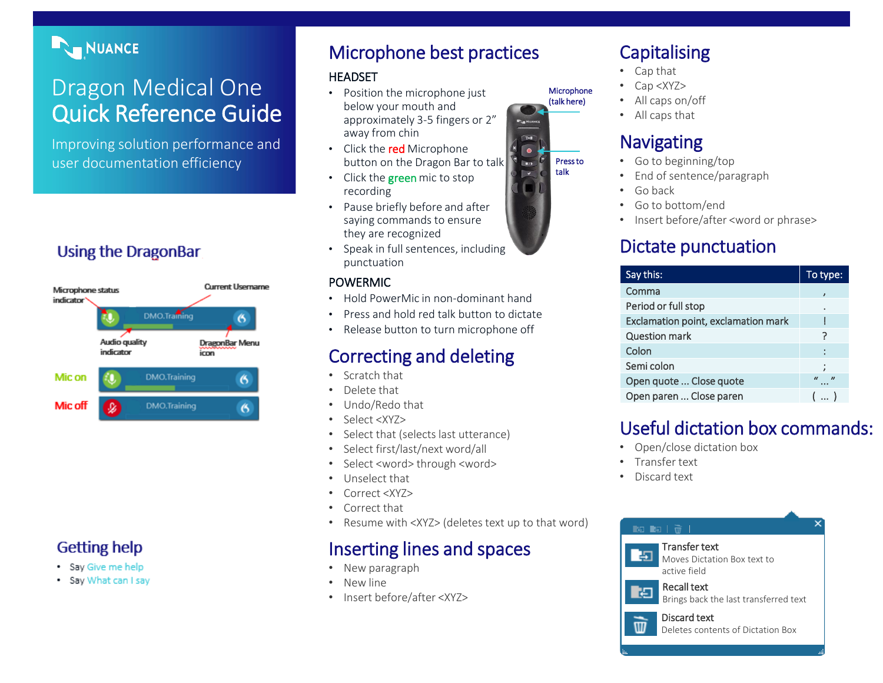### NUANCE

# Dragon Medical One Quick Reference Guide

Improving solution performance and user documentation efficiency

### **Using the DragonBar**



### **Getting help**

- · Say Give me help
- Say What can I say

### Microphone best practices

#### HEADSET

- Position the microphone just below your mouth and approximately 3-5 fingers or 2" away from chin
- Click the red Microphone button on the Dragon Bar to talk
- Click the **green** mic to stop recording
- Pause briefly before and after saying commands to ensure they are recognized
- Speak in full sentences, including punctuation

#### POWERMIC

- Hold PowerMic in non-dominant hand
- Press and hold red talk button to dictate
- Release button to turn microphone off

### Correcting and deleting

- Scratch that
- Delete that
- Undo/Redo that
- Select <XYZ>
- Select that (selects last utterance)
- Select first/last/next word/all
- Select <word> through <word>
- Unselect that
- Correct <XYZ>
- Correct that
- Resume with <XYZ> (deletes text up to that word)

### Inserting lines and spaces

- New paragraph
- New line
- Insert before/after <XYZ>

# **Capitalising**

- Cap that
- Cap <XYZ>

**Microphone** (talk here)

> Press to talk

 $T_{\text{H}}$ 

 $\sqrt{ }$ 

- All caps on/off
- All caps that

### **Navigating**

- Go to beginning/top
- End of sentence/paragraph
- Go back
- Go to bottom/end
- Insert before/after <word or phrase>

### Dictate punctuation

| Say this:                           | To type: |
|-------------------------------------|----------|
| Comma                               |          |
| Period or full stop                 |          |
| Exclamation point, exclamation mark |          |
| <b>Question mark</b>                |          |
| Colon                               |          |
| Semi colon                          |          |
| Open quote  Close quote             | $\bf{u}$ |
| Open paren  Close paren             |          |

### Useful dictation box commands:

- Open/close dictation box
- Transfer text
- Discard text